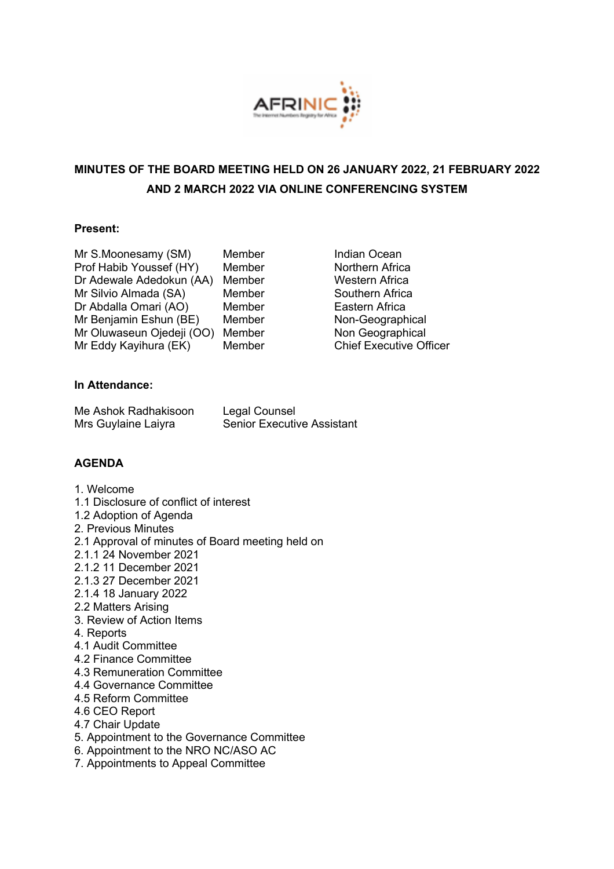

# **MINUTES OF THE BOARD MEETING HELD ON 26 JANUARY 2022, 21 FEBRUARY 2022 AND 2 MARCH 2022 VIA ONLINE CONFERENCING SYSTEM**

# **Present:**

| Mr S.Moonesamy (SM)       | Membe |
|---------------------------|-------|
| Prof Habib Youssef (HY)   | Membe |
| Dr Adewale Adedokun (AA)  | Membe |
| Mr Silvio Almada (SA)     | Membe |
| Dr Abdalla Omari (AO)     | Membe |
| Mr Benjamin Eshun (BE)    | Membe |
| Mr Oluwaseun Ojedeji (OO) | Membe |
| Mr Eddy Kayihura (EK)     | Membe |

er **Indian Ocean** Prof **Northern Africa** er **Western Africa** er Southern Africa er **Eastern Africa** er **Non-Geographical** er **Non Geographical** er **Chief Executive Officer** 

# **In Attendance:**

| Me Ashok Radhakisoon | Legal Counsel                     |
|----------------------|-----------------------------------|
| Mrs Guylaine Laiyra  | <b>Senior Executive Assistant</b> |

# **AGENDA**

- 1. Welcome
- 1.1 Disclosure of conflict of interest
- 1.2 Adoption of Agenda
- 2. Previous Minutes
- 2.1 Approval of minutes of Board meeting held on
- 2.1.1 24 November 2021
- 2.1.2 11 December 2021
- 2.1.3 27 December 2021
- 2.1.4 18 January 2022
- 2.2 Matters Arising
- 3. Review of Action Items
- 4. Reports
- 4.1 Audit Committee
- 4.2 Finance Committee
- 4.3 Remuneration Committee
- 4.4 Governance Committee
- 4.5 Reform Committee
- 4.6 CEO Report
- 4.7 Chair Update
- 5. Appointment to the Governance Committee
- 6. Appointment to the NRO NC/ASO AC
- 7. Appointments to Appeal Committee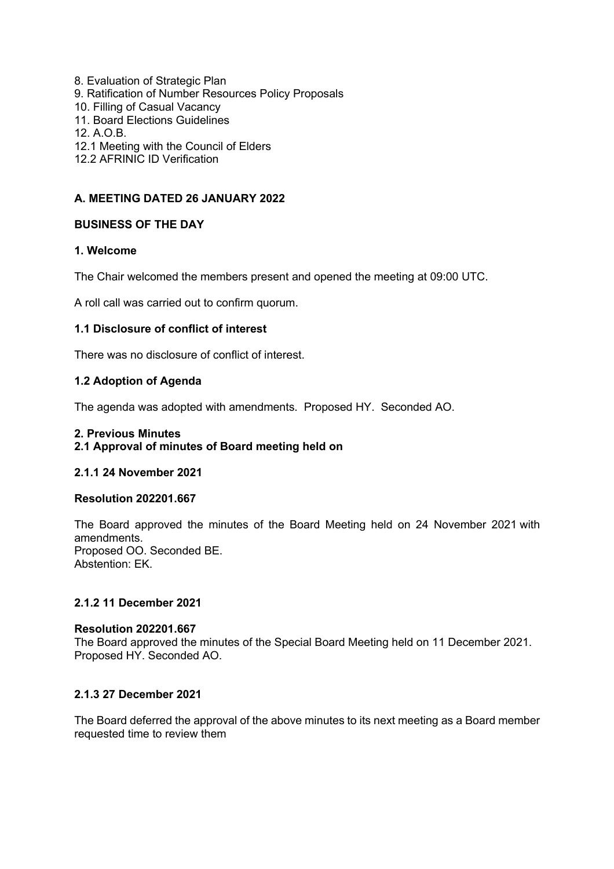- 8. Evaluation of Strategic Plan
- 9. Ratification of Number Resources Policy Proposals
- 10. Filling of Casual Vacancy
- 11. Board Elections Guidelines
- 12. A.O.B.
- 12.1 Meeting with the Council of Elders
- 12.2 AFRINIC ID Verification

## **A. MEETING DATED 26 JANUARY 2022**

# **BUSINESS OF THE DAY**

### **1. Welcome**

The Chair welcomed the members present and opened the meeting at 09:00 UTC.

A roll call was carried out to confirm quorum.

### **1.1 Disclosure of conflict of interest**

There was no disclosure of conflict of interest.

# **1.2 Adoption of Agenda**

The agenda was adopted with amendments. Proposed HY. Seconded AO.

#### **2. Previous Minutes**

# **2.1 Approval of minutes of Board meeting held on**

#### **2.1.1 24 November 2021**

#### **Resolution 202201.667**

The Board approved the minutes of the Board Meeting held on 24 November 2021 with amendments. Proposed OO. Seconded BE. Abstention: EK.

# **2.1.2 11 December 2021**

#### **Resolution 202201.667**

The Board approved the minutes of the Special Board Meeting held on 11 December 2021. Proposed HY. Seconded AO.

# **2.1.3 27 December 2021**

The Board deferred the approval of the above minutes to its next meeting as a Board member requested time to review them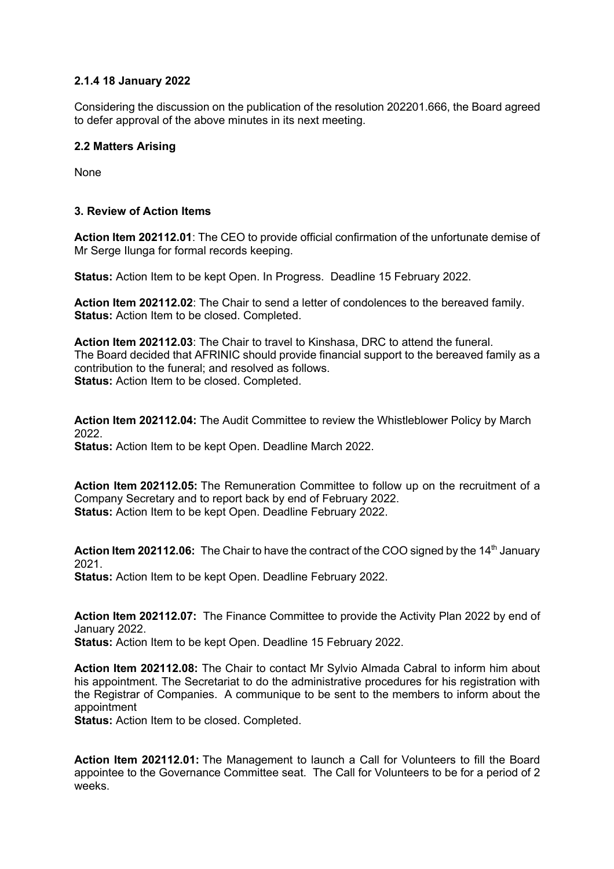# **2.1.4 18 January 2022**

Considering the discussion on the publication of the resolution 202201.666, the Board agreed to defer approval of the above minutes in its next meeting.

## **2.2 Matters Arising**

None

### **3. Review of Action Items**

**Action Item 202112.01**: The CEO to provide official confirmation of the unfortunate demise of Mr Serge Ilunga for formal records keeping.

**Status:** Action Item to be kept Open. In Progress. Deadline 15 February 2022.

**Action Item 202112.02**: The Chair to send a letter of condolences to the bereaved family. **Status:** Action Item to be closed. Completed.

**Action Item 202112.03**: The Chair to travel to Kinshasa, DRC to attend the funeral. The Board decided that AFRINIC should provide financial support to the bereaved family as a contribution to the funeral; and resolved as follows. **Status:** Action Item to be closed. Completed.

**Action Item 202112.04:** The Audit Committee to review the Whistleblower Policy by March 2022. **Status:** Action Item to be kept Open. Deadline March 2022.

**Action Item 202112.05:** The Remuneration Committee to follow up on the recruitment of a Company Secretary and to report back by end of February 2022. **Status:** Action Item to be kept Open. Deadline February 2022.

**Action Item 202112.06:** The Chair to have the contract of the COO signed by the 14<sup>th</sup> January 2021.

**Status:** Action Item to be kept Open. Deadline February 2022.

**Action Item 202112.07:** The Finance Committee to provide the Activity Plan 2022 by end of January 2022.

**Status:** Action Item to be kept Open. Deadline 15 February 2022.

**Action Item 202112.08:** The Chair to contact Mr Sylvio Almada Cabral to inform him about his appointment. The Secretariat to do the administrative procedures for his registration with the Registrar of Companies. A communique to be sent to the members to inform about the appointment

**Status:** Action Item to be closed. Completed.

**Action Item 202112.01:** The Management to launch a Call for Volunteers to fill the Board appointee to the Governance Committee seat. The Call for Volunteers to be for a period of 2 weeks.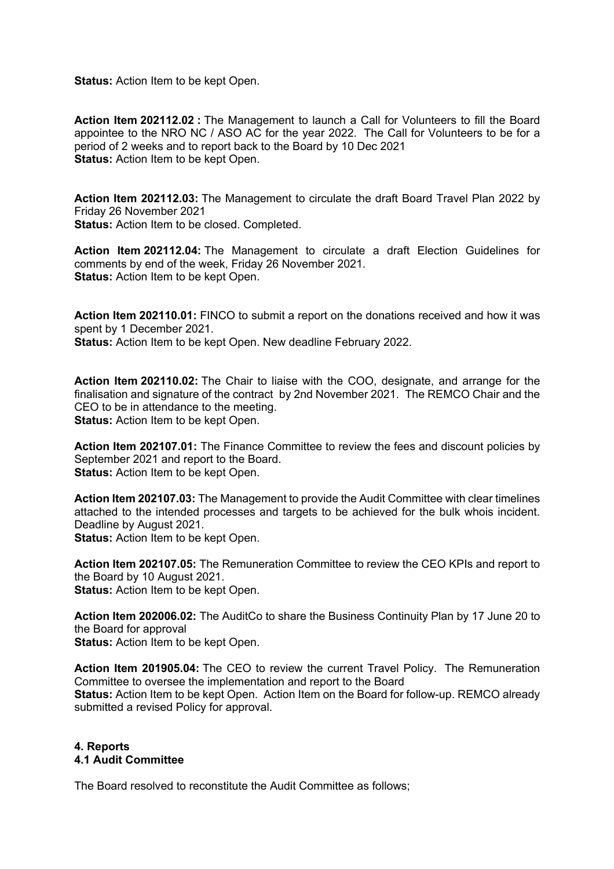**Status:** Action Item to be kept Open.

**Action Item 202112.02 :** The Management to launch a Call for Volunteers to fill the Board appointee to the NRO NC / ASO AC for the year 2022. The Call for Volunteers to be for a period of 2 weeks and to report back to the Board by 10 Dec 2021 **Status:** Action Item to be kept Open.

**Action Item 202112.03:** The Management to circulate the draft Board Travel Plan 2022 by Friday 26 November 2021

**Status:** Action Item to be closed. Completed.

**Action Item 202112.04:** The Management to circulate a draft Election Guidelines for comments by end of the week, Friday 26 November 2021. **Status:** Action Item to be kept Open.

**Action Item 202110.01:** FINCO to submit a report on the donations received and how it was spent by 1 December 2021.

**Status:** Action Item to be kept Open. New deadline February 2022.

**Action Item 202110.02:** The Chair to liaise with the COO, designate, and arrange for the finalisation and signature of the contract by 2nd November 2021. The REMCO Chair and the CEO to be in attendance to the meeting. **Status:** Action Item to be kept Open.

**Action Item 202107.01:** The Finance Committee to review the fees and discount policies by September 2021 and report to the Board. **Status:** Action Item to be kept Open.

**Action Item 202107.03:** The Management to provide the Audit Committee with clear timelines attached to the intended processes and targets to be achieved for the bulk whois incident. Deadline by August 2021. **Status:** Action Item to be kept Open.

**Action Item 202107.05:** The Remuneration Committee to review the CEO KPIs and report to the Board by 10 August 2021. **Status:** Action Item to be kept Open.

**Action Item 202006.02:** The AuditCo to share the Business Continuity Plan by 17 June 20 to the Board for approval **Status:** Action Item to be kept Open.

**Action Item 201905.04:** The CEO to review the current Travel Policy. The Remuneration Committee to oversee the implementation and report to the Board **Status:** Action Item to be kept Open. Action Item on the Board for follow-up. REMCO already submitted a revised Policy for approval.

# **4. Reports 4.1 Audit Committee**

The Board resolved to reconstitute the Audit Committee as follows;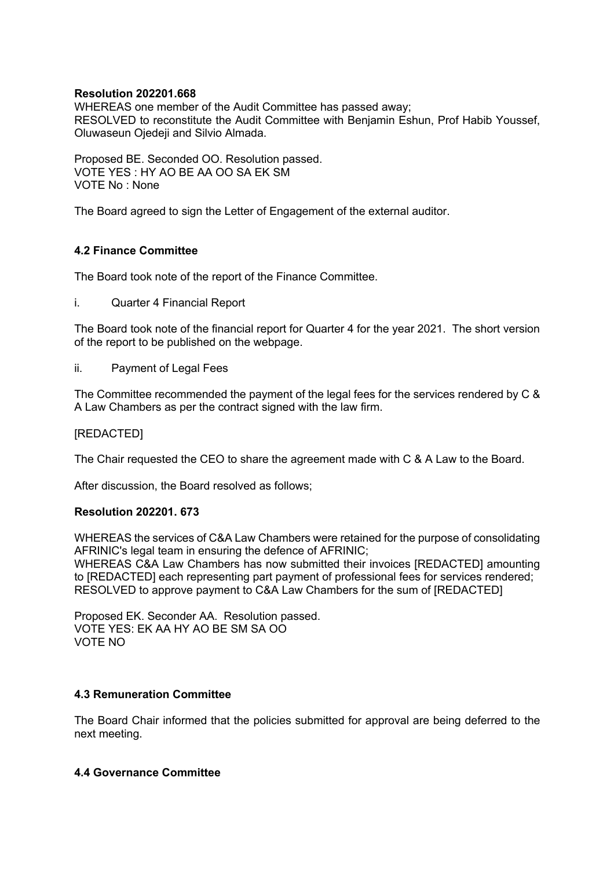### **Resolution 202201.668**

WHEREAS one member of the Audit Committee has passed away; RESOLVED to reconstitute the Audit Committee with Benjamin Eshun, Prof Habib Youssef, Oluwaseun Ojedeji and Silvio Almada.

Proposed BE. Seconded OO. Resolution passed. VOTE YES : HY AO BE AA OO SA EK SM VOTE No : None

The Board agreed to sign the Letter of Engagement of the external auditor.

# **4.2 Finance Committee**

The Board took note of the report of the Finance Committee.

i. Quarter 4 Financial Report

The Board took note of the financial report for Quarter 4 for the year 2021. The short version of the report to be published on the webpage.

ii. Payment of Legal Fees

The Committee recommended the payment of the legal fees for the services rendered by C & A Law Chambers as per the contract signed with the law firm.

## [REDACTED]

The Chair requested the CEO to share the agreement made with C & A Law to the Board.

After discussion, the Board resolved as follows;

#### **Resolution 202201. 673**

WHEREAS the services of C&A Law Chambers were retained for the purpose of consolidating AFRINIC's legal team in ensuring the defence of AFRINIC;

WHEREAS C&A Law Chambers has now submitted their invoices [REDACTED] amounting to [REDACTED] each representing part payment of professional fees for services rendered; RESOLVED to approve payment to C&A Law Chambers for the sum of [REDACTED]

Proposed EK. Seconder AA. Resolution passed. VOTE YES: EK AA HY AO BE SM SA OO VOTE NO

# **4.3 Remuneration Committee**

The Board Chair informed that the policies submitted for approval are being deferred to the next meeting.

# **4.4 Governance Committee**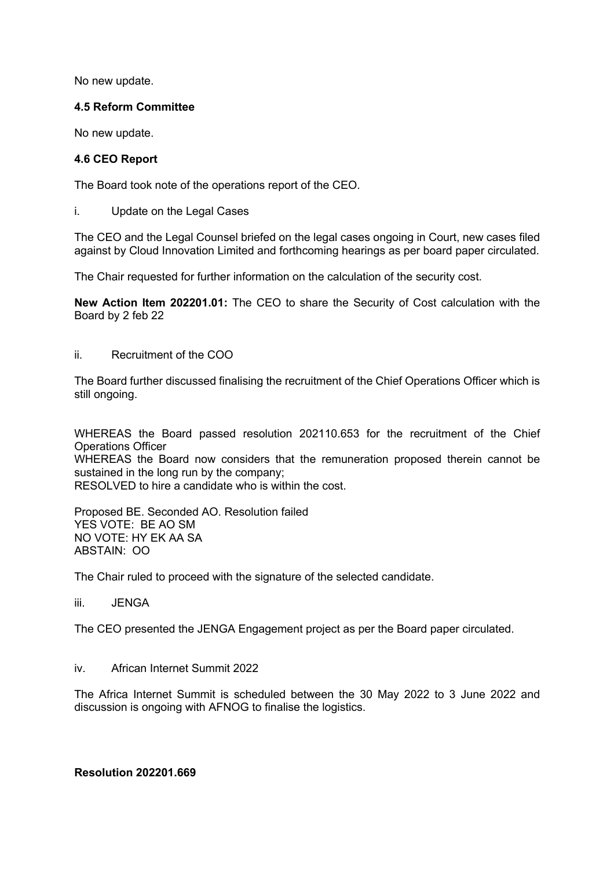No new update.

# **4.5 Reform Committee**

No new update.

## **4.6 CEO Report**

The Board took note of the operations report of the CEO.

i. Update on the Legal Cases

The CEO and the Legal Counsel briefed on the legal cases ongoing in Court, new cases filed against by Cloud Innovation Limited and forthcoming hearings as per board paper circulated.

The Chair requested for further information on the calculation of the security cost.

**New Action Item 202201.01:** The CEO to share the Security of Cost calculation with the Board by 2 feb 22

ii. Recruitment of the COO

The Board further discussed finalising the recruitment of the Chief Operations Officer which is still ongoing.

WHEREAS the Board passed resolution 202110.653 for the recruitment of the Chief Operations Officer

WHEREAS the Board now considers that the remuneration proposed therein cannot be sustained in the long run by the company;

RESOLVED to hire a candidate who is within the cost.

Proposed BE. Seconded AO. Resolution failed YES VOTE: BE AO SM NO VOTE: HY EK AA SA ABSTAIN: OO

The Chair ruled to proceed with the signature of the selected candidate.

### iii. JENGA

The CEO presented the JENGA Engagement project as per the Board paper circulated.

#### iv. African Internet Summit 2022

The Africa Internet Summit is scheduled between the 30 May 2022 to 3 June 2022 and discussion is ongoing with AFNOG to finalise the logistics.

**Resolution 202201.669**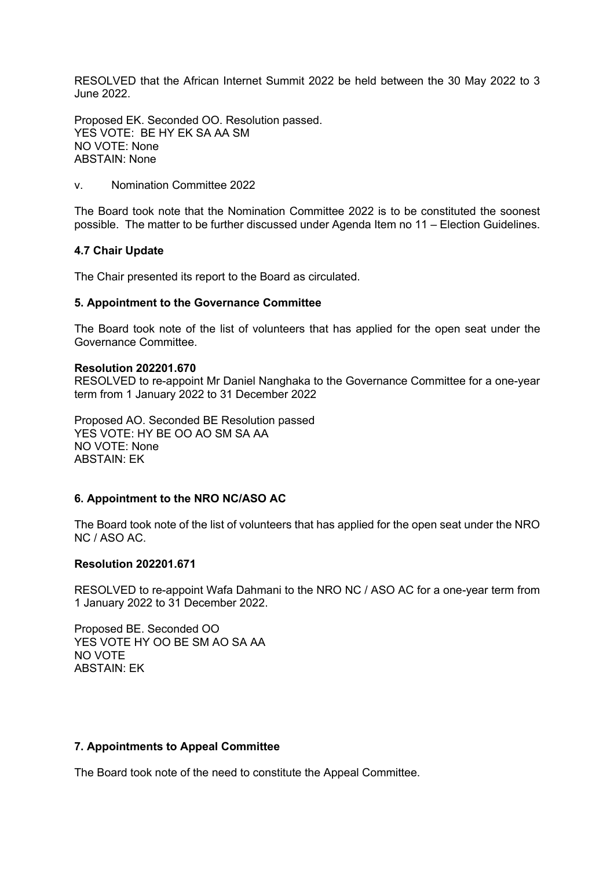RESOLVED that the African Internet Summit 2022 be held between the 30 May 2022 to 3 June 2022.

Proposed EK. Seconded OO. Resolution passed. YES VOTE: BE HY EK SA AA SM NO VOTE: None ABSTAIN: None

v. Nomination Committee 2022

The Board took note that the Nomination Committee 2022 is to be constituted the soonest possible. The matter to be further discussed under Agenda Item no 11 – Election Guidelines.

#### **4.7 Chair Update**

The Chair presented its report to the Board as circulated.

#### **5. Appointment to the Governance Committee**

The Board took note of the list of volunteers that has applied for the open seat under the Governance Committee.

#### **Resolution 202201.670**

RESOLVED to re-appoint Mr Daniel Nanghaka to the Governance Committee for a one-year term from 1 January 2022 to 31 December 2022

Proposed AO. Seconded BE Resolution passed YES VOTE: HY BE OO AO SM SA AA NO VOTE: None ABSTAIN: EK

#### **6. Appointment to the NRO NC/ASO AC**

The Board took note of the list of volunteers that has applied for the open seat under the NRO NC / ASO AC.

#### **Resolution 202201.671**

RESOLVED to re-appoint Wafa Dahmani to the NRO NC / ASO AC for a one-year term from 1 January 2022 to 31 December 2022.

Proposed BE. Seconded OO YES VOTE HY OO BE SM AO SA AA NO VOTE ABSTAIN: EK

#### **7. Appointments to Appeal Committee**

The Board took note of the need to constitute the Appeal Committee.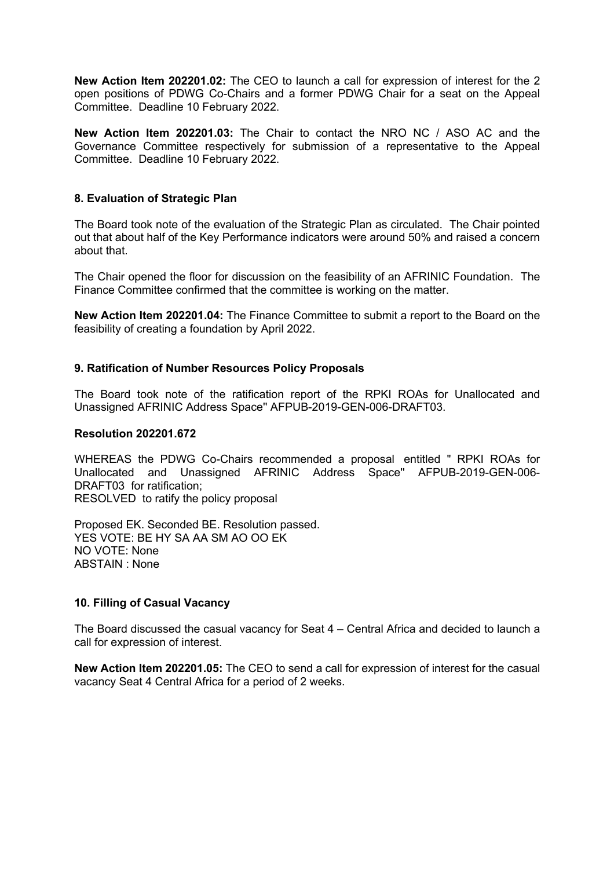**New Action Item 202201.02:** The CEO to launch a call for expression of interest for the 2 open positions of PDWG Co-Chairs and a former PDWG Chair for a seat on the Appeal Committee. Deadline 10 February 2022.

**New Action Item 202201.03:** The Chair to contact the NRO NC / ASO AC and the Governance Committee respectively for submission of a representative to the Appeal Committee. Deadline 10 February 2022.

### **8. Evaluation of Strategic Plan**

The Board took note of the evaluation of the Strategic Plan as circulated. The Chair pointed out that about half of the Key Performance indicators were around 50% and raised a concern about that.

The Chair opened the floor for discussion on the feasibility of an AFRINIC Foundation. The Finance Committee confirmed that the committee is working on the matter.

**New Action Item 202201.04:** The Finance Committee to submit a report to the Board on the feasibility of creating a foundation by April 2022.

### **9. Ratification of Number Resources Policy Proposals**

The Board took note of the ratification report of the RPKI ROAs for Unallocated and Unassigned AFRINIC Address Space'' AFPUB-2019-GEN-006-DRAFT03.

### **Resolution 202201.672**

WHEREAS the PDWG Co-Chairs recommended a proposal entitled " RPKI ROAs for Unallocated and Unassigned AFRINIC Address Space'' AFPUB-2019-GEN-006- DRAFT03 for ratification; RESOLVED to ratify the policy proposal

Proposed EK. Seconded BE. Resolution passed. YES VOTE: BE HY SA AA SM AO OO EK NO VOTE: None ABSTAIN : None

# **10. Filling of Casual Vacancy**

The Board discussed the casual vacancy for Seat 4 – Central Africa and decided to launch a call for expression of interest.

**New Action Item 202201.05:** The CEO to send a call for expression of interest for the casual vacancy Seat 4 Central Africa for a period of 2 weeks.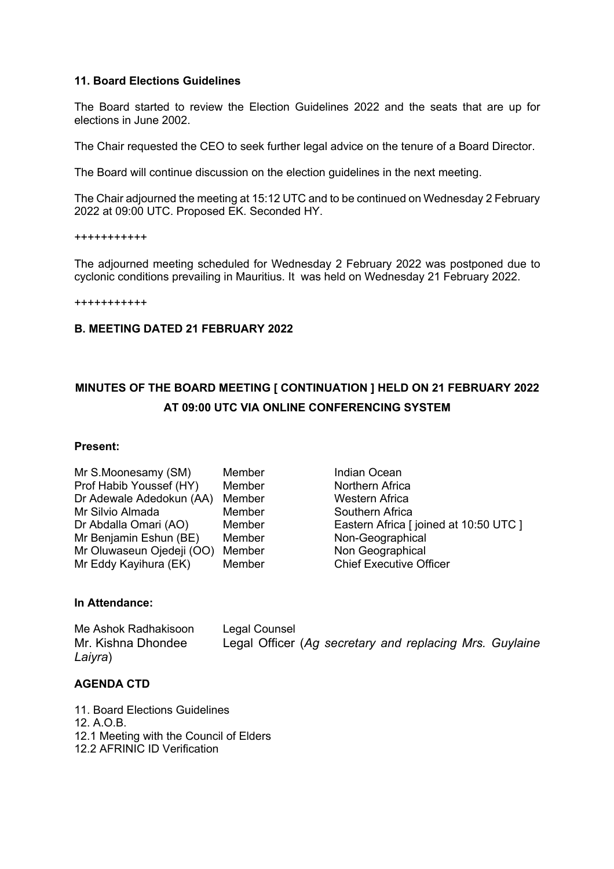## **11. Board Elections Guidelines**

The Board started to review the Election Guidelines 2022 and the seats that are up for elections in June 2002.

The Chair requested the CEO to seek further legal advice on the tenure of a Board Director.

The Board will continue discussion on the election guidelines in the next meeting.

The Chair adjourned the meeting at 15:12 UTC and to be continued on Wednesday 2 February 2022 at 09:00 UTC. Proposed EK. Seconded HY.

+++++++++++

The adjourned meeting scheduled for Wednesday 2 February 2022 was postponed due to cyclonic conditions prevailing in Mauritius. It was held on Wednesday 21 February 2022.

+++++++++++

## **B. MEETING DATED 21 FEBRUARY 2022**

# **MINUTES OF THE BOARD MEETING [ CONTINUATION ] HELD ON 21 FEBRUARY 2022 AT 09:00 UTC VIA ONLINE CONFERENCING SYSTEM**

#### **Present:**

| Member |
|--------|
| Member |
| Member |
| Member |
| Member |
| Member |
| Member |
| Member |
|        |

Indian Ocean Northern Africa Western Africa Southern Africa Eastern Africa [ joined at 10:50 UTC ] Non-Geographical Non Geographical **Chief Executive Officer** 

# **In Attendance:**

Me Ashok Radhakisoon Legal Counsel Mr. Kishna Dhondee Legal Officer (*Ag secretary and replacing Mrs. Guylaine Laiyra*)

# **AGENDA CTD**

- 11. Board Elections Guidelines
- 12. A.O.B.
- 12.1 Meeting with the Council of Elders
- 12.2 AFRINIC ID Verification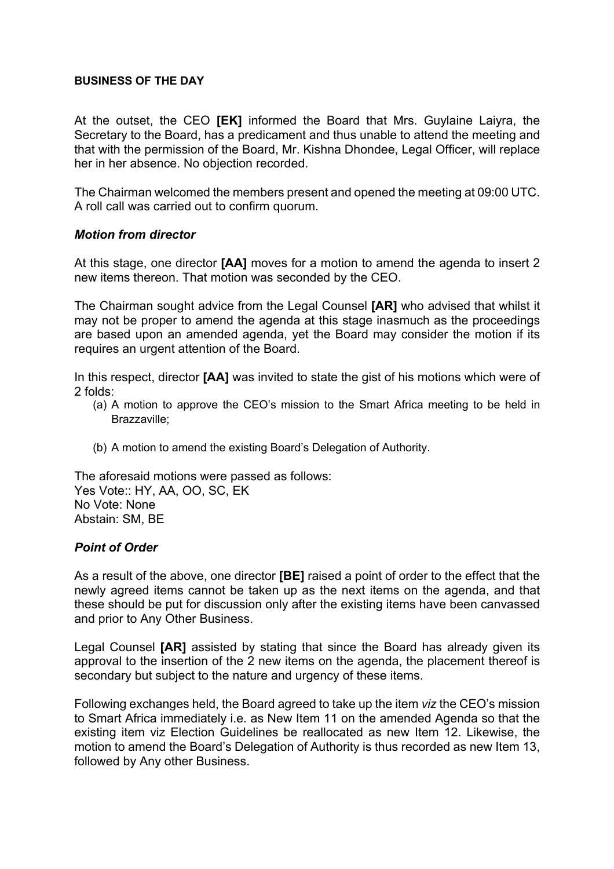# **BUSINESS OF THE DAY**

At the outset, the CEO **[EK]** informed the Board that Mrs. Guylaine Laiyra, the Secretary to the Board, has a predicament and thus unable to attend the meeting and that with the permission of the Board, Mr. Kishna Dhondee, Legal Officer, will replace her in her absence. No objection recorded.

The Chairman welcomed the members present and opened the meeting at 09:00 UTC. A roll call was carried out to confirm quorum.

# *Motion from director*

At this stage, one director **[AA]** moves for a motion to amend the agenda to insert 2 new items thereon. That motion was seconded by the CEO.

The Chairman sought advice from the Legal Counsel **[AR]** who advised that whilst it may not be proper to amend the agenda at this stage inasmuch as the proceedings are based upon an amended agenda, yet the Board may consider the motion if its requires an urgent attention of the Board.

In this respect, director **[AA]** was invited to state the gist of his motions which were of 2 folds:

- (a) A motion to approve the CEO's mission to the Smart Africa meeting to be held in Brazzaville;
- (b) A motion to amend the existing Board's Delegation of Authority.

The aforesaid motions were passed as follows: Yes Vote:: HY, AA, OO, SC, EK No Vote: None Abstain: SM, BE

# *Point of Order*

As a result of the above, one director **[BE]** raised a point of order to the effect that the newly agreed items cannot be taken up as the next items on the agenda, and that these should be put for discussion only after the existing items have been canvassed and prior to Any Other Business.

Legal Counsel **[AR]** assisted by stating that since the Board has already given its approval to the insertion of the 2 new items on the agenda, the placement thereof is secondary but subject to the nature and urgency of these items.

Following exchanges held, the Board agreed to take up the item *viz* the CEO's mission to Smart Africa immediately i.e. as New Item 11 on the amended Agenda so that the existing item viz Election Guidelines be reallocated as new Item 12. Likewise, the motion to amend the Board's Delegation of Authority is thus recorded as new Item 13, followed by Any other Business.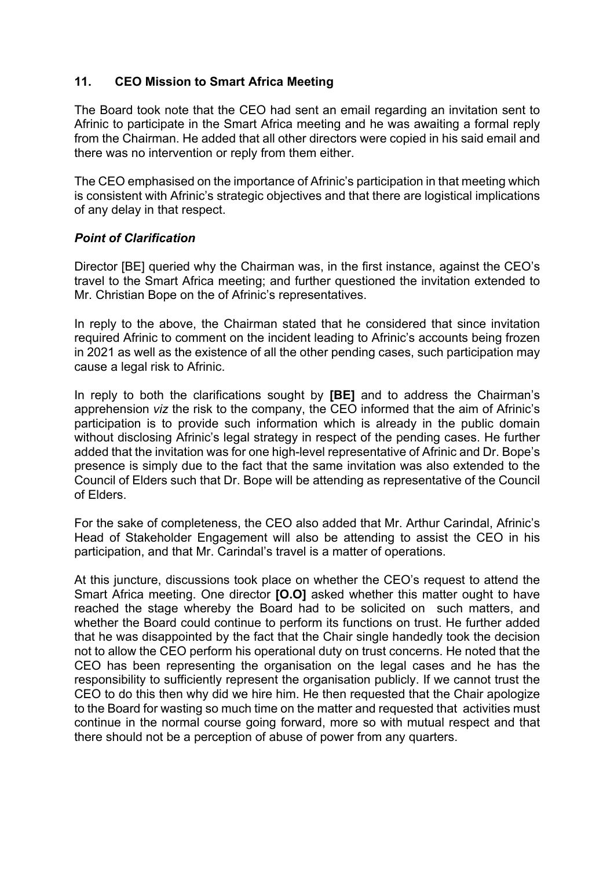# **11. CEO Mission to Smart Africa Meeting**

The Board took note that the CEO had sent an email regarding an invitation sent to Afrinic to participate in the Smart Africa meeting and he was awaiting a formal reply from the Chairman. He added that all other directors were copied in his said email and there was no intervention or reply from them either.

The CEO emphasised on the importance of Afrinic's participation in that meeting which is consistent with Afrinic's strategic objectives and that there are logistical implications of any delay in that respect.

# *Point of Clarification*

Director [BE] queried why the Chairman was, in the first instance, against the CEO's travel to the Smart Africa meeting; and further questioned the invitation extended to Mr. Christian Bope on the of Afrinic's representatives.

In reply to the above, the Chairman stated that he considered that since invitation required Afrinic to comment on the incident leading to Afrinic's accounts being frozen in 2021 as well as the existence of all the other pending cases, such participation may cause a legal risk to Afrinic.

In reply to both the clarifications sought by **[BE]** and to address the Chairman's apprehension *viz* the risk to the company, the CEO informed that the aim of Afrinic's participation is to provide such information which is already in the public domain without disclosing Afrinic's legal strategy in respect of the pending cases. He further added that the invitation was for one high-level representative of Afrinic and Dr. Bope's presence is simply due to the fact that the same invitation was also extended to the Council of Elders such that Dr. Bope will be attending as representative of the Council of Elders.

For the sake of completeness, the CEO also added that Mr. Arthur Carindal, Afrinic's Head of Stakeholder Engagement will also be attending to assist the CEO in his participation, and that Mr. Carindal's travel is a matter of operations.

At this juncture, discussions took place on whether the CEO's request to attend the Smart Africa meeting. One director **[O.O]** asked whether this matter ought to have reached the stage whereby the Board had to be solicited on such matters, and whether the Board could continue to perform its functions on trust. He further added that he was disappointed by the fact that the Chair single handedly took the decision not to allow the CEO perform his operational duty on trust concerns. He noted that the CEO has been representing the organisation on the legal cases and he has the responsibility to sufficiently represent the organisation publicly. If we cannot trust the CEO to do this then why did we hire him. He then requested that the Chair apologize to the Board for wasting so much time on the matter and requested that activities must continue in the normal course going forward, more so with mutual respect and that there should not be a perception of abuse of power from any quarters.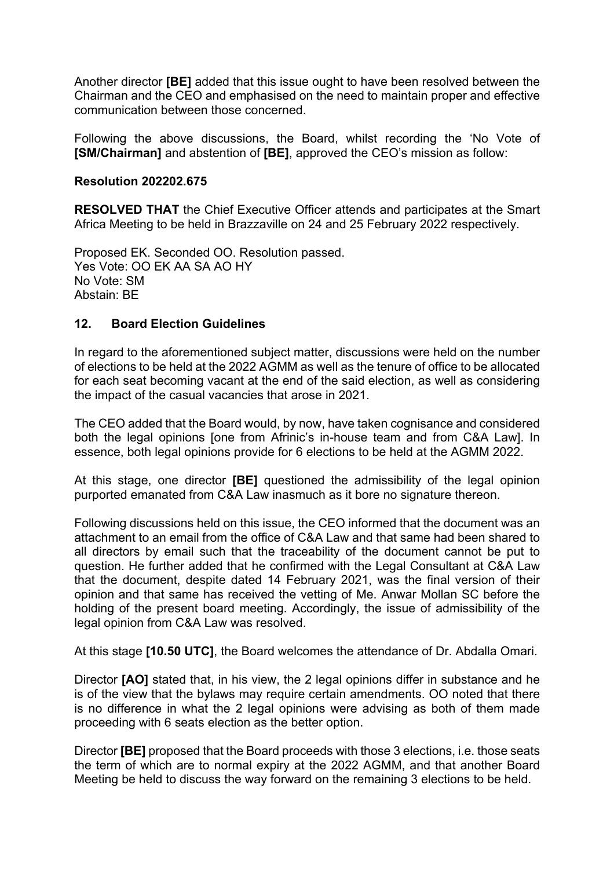Another director **[BE]** added that this issue ought to have been resolved between the Chairman and the CEO and emphasised on the need to maintain proper and effective communication between those concerned.

Following the above discussions, the Board, whilst recording the 'No Vote of **[SM/Chairman]** and abstention of **[BE]**, approved the CEO's mission as follow:

# **Resolution 202202.675**

**RESOLVED THAT** the Chief Executive Officer attends and participates at the Smart Africa Meeting to be held in Brazzaville on 24 and 25 February 2022 respectively.

Proposed EK. Seconded OO. Resolution passed. Yes Vote: OO EK AA SA AO HY No Vote: SM Abstain: BE

# **12. Board Election Guidelines**

In regard to the aforementioned subject matter, discussions were held on the number of elections to be held at the 2022 AGMM as well as the tenure of office to be allocated for each seat becoming vacant at the end of the said election, as well as considering the impact of the casual vacancies that arose in 2021.

The CEO added that the Board would, by now, have taken cognisance and considered both the legal opinions [one from Afrinic's in-house team and from C&A Law]. In essence, both legal opinions provide for 6 elections to be held at the AGMM 2022.

At this stage, one director **[BE]** questioned the admissibility of the legal opinion purported emanated from C&A Law inasmuch as it bore no signature thereon.

Following discussions held on this issue, the CEO informed that the document was an attachment to an email from the office of C&A Law and that same had been shared to all directors by email such that the traceability of the document cannot be put to question. He further added that he confirmed with the Legal Consultant at C&A Law that the document, despite dated 14 February 2021, was the final version of their opinion and that same has received the vetting of Me. Anwar Mollan SC before the holding of the present board meeting. Accordingly, the issue of admissibility of the legal opinion from C&A Law was resolved.

At this stage **[10.50 UTC]**, the Board welcomes the attendance of Dr. Abdalla Omari.

Director **[AO]** stated that, in his view, the 2 legal opinions differ in substance and he is of the view that the bylaws may require certain amendments. OO noted that there is no difference in what the 2 legal opinions were advising as both of them made proceeding with 6 seats election as the better option.

Director **[BE]** proposed that the Board proceeds with those 3 elections, i.e. those seats the term of which are to normal expiry at the 2022 AGMM, and that another Board Meeting be held to discuss the way forward on the remaining 3 elections to be held.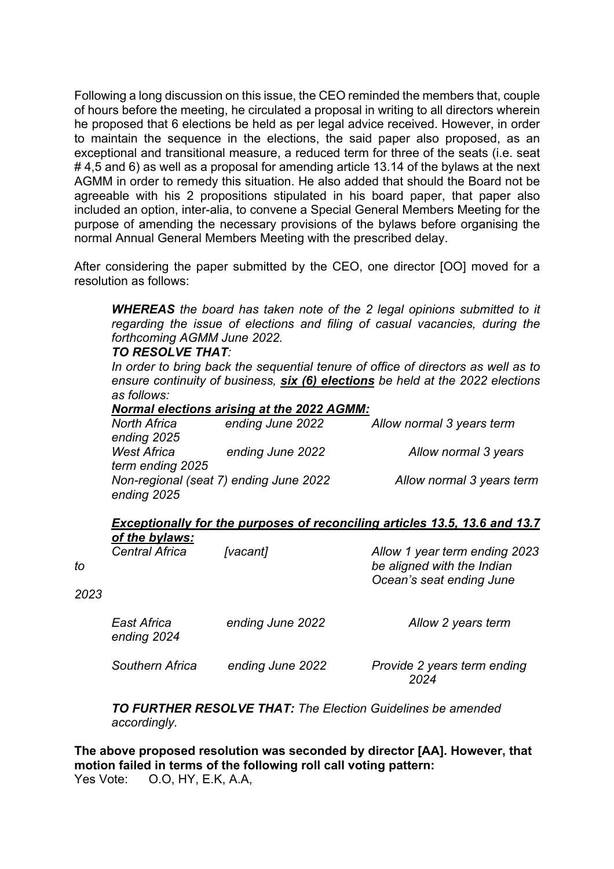Following a long discussion on this issue, the CEO reminded the members that, couple of hours before the meeting, he circulated a proposal in writing to all directors wherein he proposed that 6 elections be held as per legal advice received. However, in order to maintain the sequence in the elections, the said paper also proposed, as an exceptional and transitional measure, a reduced term for three of the seats (i.e. seat # 4,5 and 6) as well as a proposal for amending article 13.14 of the bylaws at the next AGMM in order to remedy this situation. He also added that should the Board not be agreeable with his 2 propositions stipulated in his board paper, that paper also included an option, inter-alia, to convene a Special General Members Meeting for the purpose of amending the necessary provisions of the bylaws before organising the normal Annual General Members Meeting with the prescribed delay.

After considering the paper submitted by the CEO, one director [OO] moved for a resolution as follows:

*WHEREAS the board has taken note of the 2 legal opinions submitted to it regarding the issue of elections and filing of casual vacancies, during the forthcoming AGMM June 2022.*

# *TO RESOLVE THAT:*

*In order to bring back the sequential tenure of office of directors as well as to ensure continuity of business, six (6) elections be held at the 2022 elections as follows:*

### *Normal elections arising at the 2022 AGMM:*

| North Africa<br>ending 2025            | ending June 2022                       | Allow normal 3 years term |
|----------------------------------------|----------------------------------------|---------------------------|
| <b>West Africa</b><br>term ending 2025 | ending June 2022                       | Allow normal 3 years      |
| ending 2025                            | Non-regional (seat 7) ending June 2022 | Allow normal 3 years term |

*Exceptionally for the purposes of reconciling articles 13.5, 13.6 and 13.7 of the bylaws:*

| to<br>2023 | <b>Central Africa</b>      | [vacant]         | Allow 1 year term ending 2023<br>be aligned with the Indian<br>Ocean's seat ending June |
|------------|----------------------------|------------------|-----------------------------------------------------------------------------------------|
|            | East Africa<br>ending 2024 | ending June 2022 | Allow 2 years term                                                                      |
|            | Southern Africa            | ending June 2022 | Provide 2 years term ending<br>2024                                                     |

*TO FURTHER RESOLVE THAT: The Election Guidelines be amended accordingly.*

**The above proposed resolution was seconded by director [AA]. However, that motion failed in terms of the following roll call voting pattern:** Yes Vote: O.O, HY, E.K, A.A,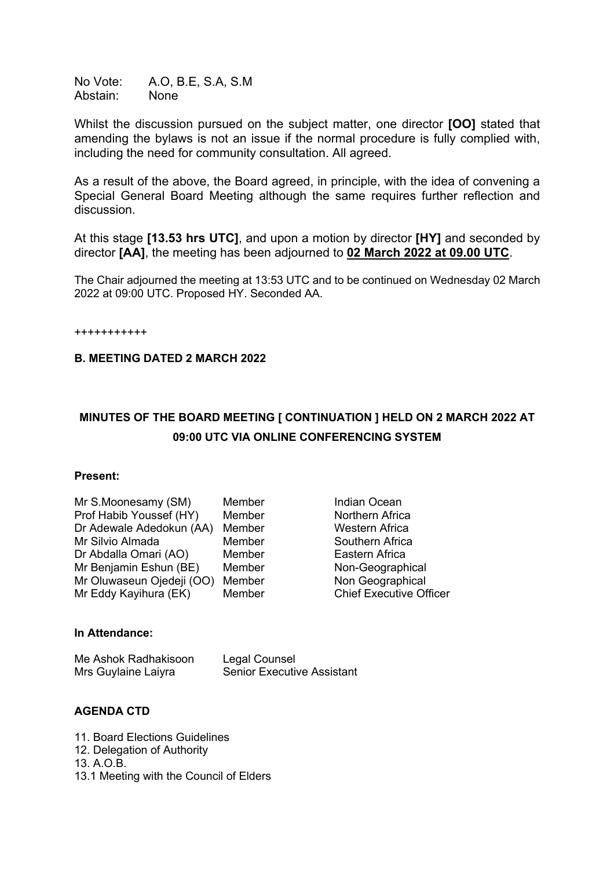No Vote: A.O, B.E, S.A, S.M Abstain: None

Whilst the discussion pursued on the subject matter, one director **[OO]** stated that amending the bylaws is not an issue if the normal procedure is fully complied with, including the need for community consultation. All agreed.

As a result of the above, the Board agreed, in principle, with the idea of convening a Special General Board Meeting although the same requires further reflection and discussion.

At this stage **[13.53 hrs UTC]**, and upon a motion by director **[HY]** and seconded by director **[AA]**, the meeting has been adjourned to **02 March 2022 at 09.00 UTC**.

The Chair adjourned the meeting at 13:53 UTC and to be continued on Wednesday 02 March 2022 at 09:00 UTC. Proposed HY. Seconded AA.

+++++++++++

# **B. MEETING DATED 2 MARCH 2022**

# **MINUTES OF THE BOARD MEETING [ CONTINUATION ] HELD ON 2 MARCH 2022 AT 09:00 UTC VIA ONLINE CONFERENCING SYSTEM**

#### **Present:**

| Mr S.Moonesamy (SM)       | Member |
|---------------------------|--------|
| Prof Habib Youssef (HY)   | Member |
| Dr Adewale Adedokun (AA)  | Member |
| Mr Silvio Almada          | Member |
| Dr Abdalla Omari (AO)     | Member |
| Mr Benjamin Eshun (BE)    | Member |
| Mr Oluwaseun Ojedeji (OO) | Member |
| Mr Eddy Kayihura (EK)     | Member |

Indian Ocean Northern Africa Western Africa Southern Africa Eastern Africa Non-Geographical Non Geographical Chief Executive Officer

# **In Attendance:**

| Me Ashok Radhakisoon | Legal Counsel                     |
|----------------------|-----------------------------------|
| Mrs Guylaine Laiyra  | <b>Senior Executive Assistant</b> |

# **AGENDA CTD**

11. Board Elections Guidelines

- 12. Delegation of Authority
- 13. A.O.B.
- 13.1 Meeting with the Council of Elders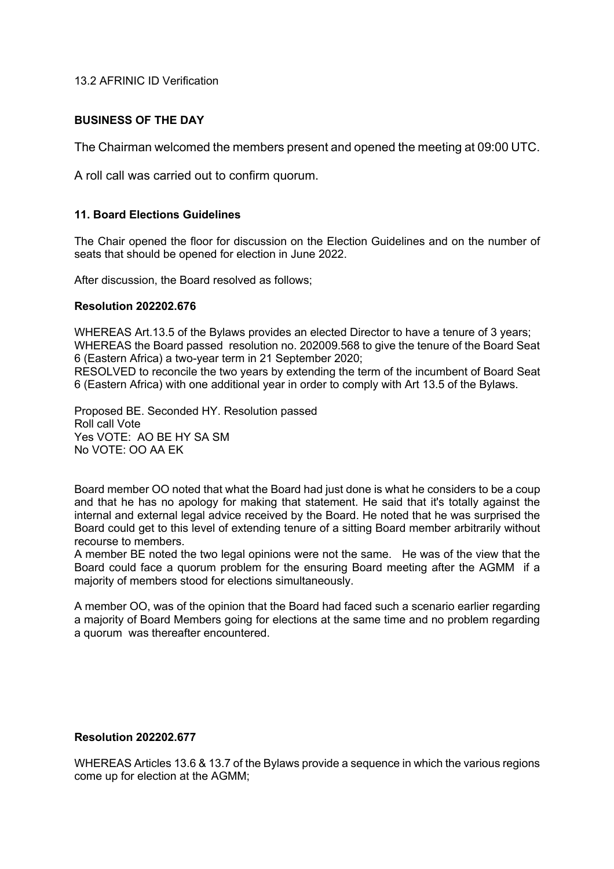13.2 AFRINIC ID Verification

# **BUSINESS OF THE DAY**

The Chairman welcomed the members present and opened the meeting at 09:00 UTC.

A roll call was carried out to confirm quorum.

## **11. Board Elections Guidelines**

The Chair opened the floor for discussion on the Election Guidelines and on the number of seats that should be opened for election in June 2022.

After discussion, the Board resolved as follows;

### **Resolution 202202.676**

WHEREAS Art.13.5 of the Bylaws provides an elected Director to have a tenure of 3 years; WHEREAS the Board passed resolution no. 202009.568 to give the tenure of the Board Seat 6 (Eastern Africa) a two-year term in 21 September 2020;

RESOLVED to reconcile the two years by extending the term of the incumbent of Board Seat 6 (Eastern Africa) with one additional year in order to comply with Art 13.5 of the Bylaws.

Proposed BE. Seconded HY. Resolution passed Roll call Vote Yes VOTE: AO BE HY SA SM No VOTE: OO AA EK

Board member OO noted that what the Board had just done is what he considers to be a coup and that he has no apology for making that statement. He said that it's totally against the internal and external legal advice received by the Board. He noted that he was surprised the Board could get to this level of extending tenure of a sitting Board member arbitrarily without recourse to members.

A member BE noted the two legal opinions were not the same. He was of the view that the Board could face a quorum problem for the ensuring Board meeting after the AGMM if a majority of members stood for elections simultaneously.

A member OO, was of the opinion that the Board had faced such a scenario earlier regarding a majority of Board Members going for elections at the same time and no problem regarding a quorum was thereafter encountered.

#### **Resolution 202202.677**

WHEREAS Articles 13.6 & 13.7 of the Bylaws provide a sequence in which the various regions come up for election at the AGMM;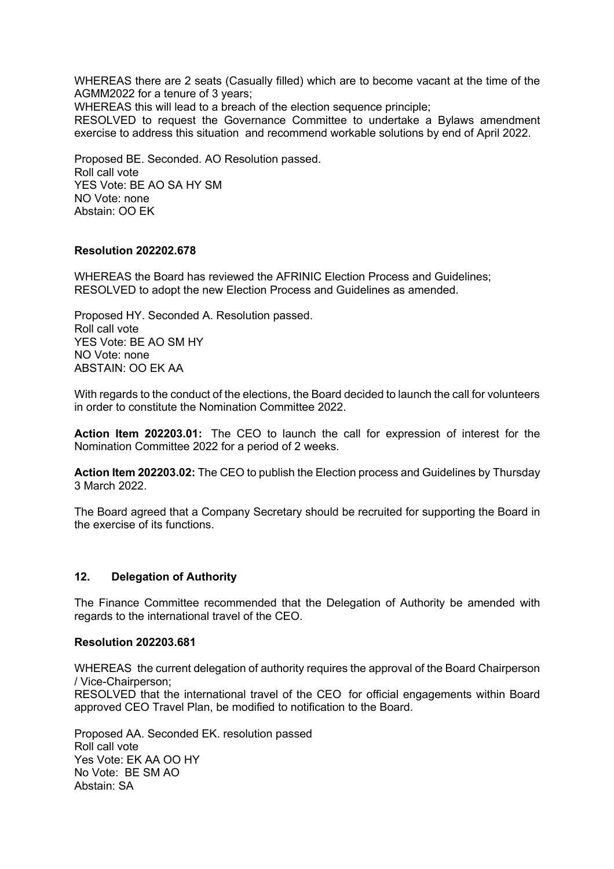WHEREAS there are 2 seats (Casually filled) which are to become vacant at the time of the AGMM2022 for a tenure of 3 years;

WHEREAS this will lead to a breach of the election sequence principle;

RESOLVED to request the Governance Committee to undertake a Bylaws amendment exercise to address this situation and recommend workable solutions by end of April 2022.

Proposed BE. Seconded. AO Resolution passed. Roll call vote YES Vote: BE AO SA HY SM NO Vote: none Abstain: OO EK

### **Resolution 202202.678**

WHEREAS the Board has reviewed the AFRINIC Election Process and Guidelines; RESOLVED to adopt the new Election Process and Guidelines as amended.

Proposed HY. Seconded A. Resolution passed. Roll call vote YES Vote: BE AO SM HY NO Vote: none ABSTAIN: OO EK AA

With regards to the conduct of the elections, the Board decided to launch the call for volunteers in order to constitute the Nomination Committee 2022.

**Action Item 202203.01:** The CEO to launch the call for expression of interest for the Nomination Committee 2022 for a period of 2 weeks.

**Action Item 202203.02:** The CEO to publish the Election process and Guidelines by Thursday 3 March 2022.

The Board agreed that a Company Secretary should be recruited for supporting the Board in the exercise of its functions.

#### **12. Delegation of Authority**

The Finance Committee recommended that the Delegation of Authority be amended with regards to the international travel of the CEO.

#### **Resolution 202203.681**

WHEREAS the current delegation of authority requires the approval of the Board Chairperson / Vice-Chairperson; RESOLVED that the international travel of the CEO for official engagements within Board approved CEO Travel Plan, be modified to notification to the Board.

Proposed AA. Seconded EK. resolution passed Roll call vote Yes Vote: EK AA OO HY No Vote: BE SM AO Abstain: SA